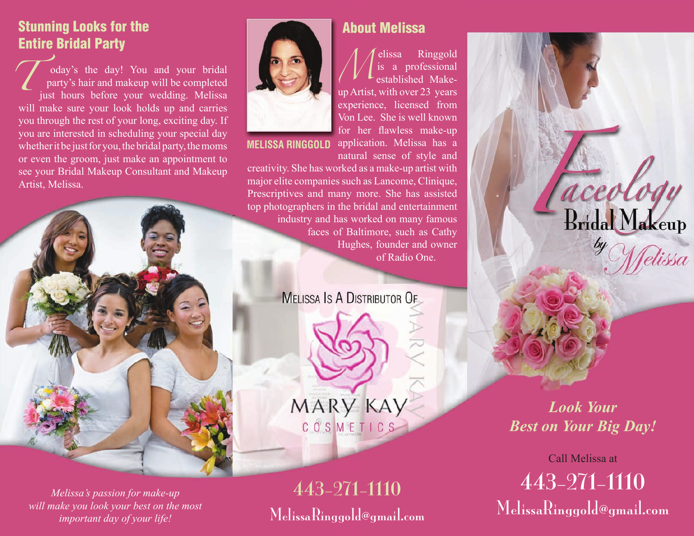## Stunning Looks for the Entire Bridal Party

oday's the day! You and your bridal party's hair and makeup will be completed just hours before your wedding. Melissa will make sure your look holds up and carries you through the rest of your long, exciting day. If you are interested in scheduling your special day whether it be just for you, the bridal party, the moms or even the groom, just make an appointment to see your Bridal Makeup Consultant and Makeup Artist, Melissa.  $\mathcal{L}$ 



*Melissa's passion for make-up will make you look your best on the most important day of your life!*



elissa Ringgold is a professional established Makeup Artist, with over 23 years experience, licensed from Von Lee. She is well known for her flawless make-up **MELISSA RINGGOLD** application. Melissa has a *M*

natural sense of style and creativity. She has worked as a make-up artist with major elite companies such as Lancome, Clinique, Prescriptives and many more. She has assisted top photographers in the bridal and entertainment industry and has worked on many famous faces of Baltimore, such as Cathy Hughes, founder and owner of Radio One.

**MELISSA IS A DISTRIBUTOR OF** 

MARY KAY COSMETICS

443-271-1110 MelissaRinggold@gmail.com

## About Melissa

rceol **Bridal Makeup** 

> *Look Your Best on Your Big Day!*

443-271-1110 MelissaRinggold@gmail.com Call Melissa at